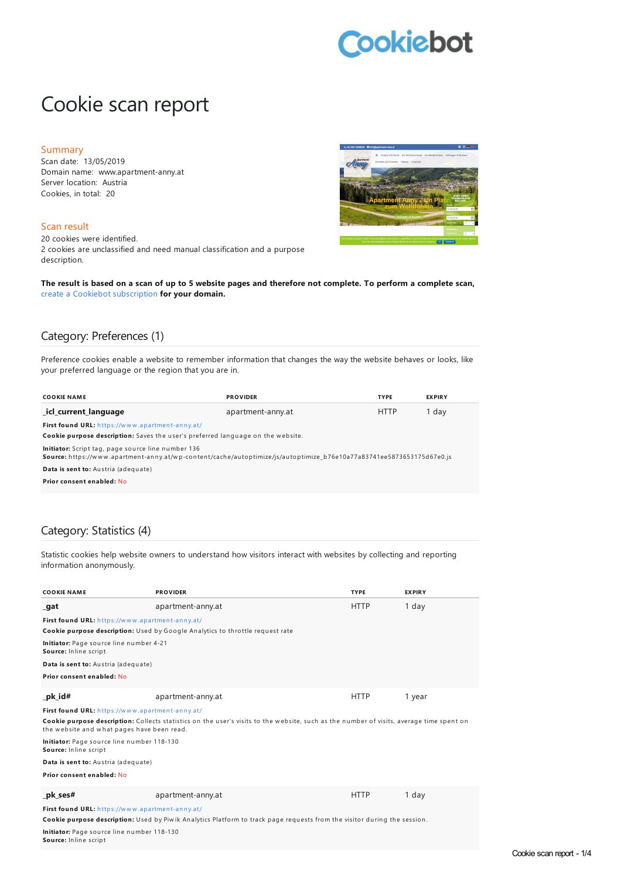# **Cookiebot**

# Cookie scan report

#### Summary

Scan date: 13/05/2019 Domain name: www.apartment-anny.at Server location: Austria Cookies, in total: 20

#### Scan result

20 cookies were identified. 2 cookies are unclassified and need manual classification and a purpose description.



The result is based on a scan of up to 5 website pages and therefore not complete. To perform a complete scan, create a Cookiebot [subscription](https://manage.cookiebot.com/goto/signup) **for your domain.**

### Category: Preferences (1)

Preference cookies enable a website to remember information that changes the way the website behaves or looks, like your preferred language or the region that you are in.

| <b>COOKIE NAME</b>                                                                                                                                                          | <b>PROVIDER</b>   | <b>TYPE</b> | <b>EXPIRY</b> |
|-----------------------------------------------------------------------------------------------------------------------------------------------------------------------------|-------------------|-------------|---------------|
| icl current language                                                                                                                                                        | apartment-anny.at | <b>HTTP</b> | 1 day         |
| First found URL: https://www.apartment-anny.at/                                                                                                                             |                   |             |               |
| Cookie purpose description: Saves the user's preferred language on the website.                                                                                             |                   |             |               |
| Initiator: Script tag, page source line number 136<br>Source: https://www.apartment-anny.at/wp-content/cache/autoptimize/js/autoptimize b76e10a77a83741ee5873653175d67e0.js |                   |             |               |
| Data is sent to: Austria (adequate)                                                                                                                                         |                   |             |               |
| Prior consent enabled: No                                                                                                                                                   |                   |             |               |

#### Category: Statistics (4)

**Source:** Inline script

Statistic cookies help website owners to understand how visitors interact with websites by collecting and reporting information anonymously.

| <b>COOKIE NAME</b>                                                                                                                                                                     | <b>PROVIDER</b>                                                               | <b>TYPE</b> | <b>EXPIRY</b> |
|----------------------------------------------------------------------------------------------------------------------------------------------------------------------------------------|-------------------------------------------------------------------------------|-------------|---------------|
| _gat                                                                                                                                                                                   | apartment-anny.at                                                             | <b>HTTP</b> | 1 day         |
| First found URL: https://www.apartment-anny.at/                                                                                                                                        |                                                                               |             |               |
|                                                                                                                                                                                        | Cookie purpose description: Used by Google Analytics to throttle request rate |             |               |
| Initiator: Page source line number 4-21<br>Source: Inline script                                                                                                                       |                                                                               |             |               |
| Data is sent to: Austria (adequate)                                                                                                                                                    |                                                                               |             |               |
| Prior consent enabled: No                                                                                                                                                              |                                                                               |             |               |
| pk id#                                                                                                                                                                                 | apartment-anny.at                                                             | <b>HTTP</b> | 1 year        |
| First found URL: https://www.apartment-anny.at/                                                                                                                                        |                                                                               |             |               |
| Cookie purpose description: Collects statistics on the user's visits to the website, such as the number of visits, average time spent on<br>the website and what pages have been read. |                                                                               |             |               |
| Initiator: Page source line number 118-130<br>Source: Inline script                                                                                                                    |                                                                               |             |               |
| Data is sent to: Austria (adequate)                                                                                                                                                    |                                                                               |             |               |
| Prior consent enabled: No                                                                                                                                                              |                                                                               |             |               |
| pk ses#                                                                                                                                                                                | apartment-anny.at                                                             | <b>HTTP</b> | 1 day         |
| First found URL: https://www.apartment-anny.at/                                                                                                                                        |                                                                               |             |               |
| Cookie purpose description: Used by Piwik Analytics Platform to track page requests from the visitor during the session.                                                               |                                                                               |             |               |
| Initiator: Page source line number 118-130                                                                                                                                             |                                                                               |             |               |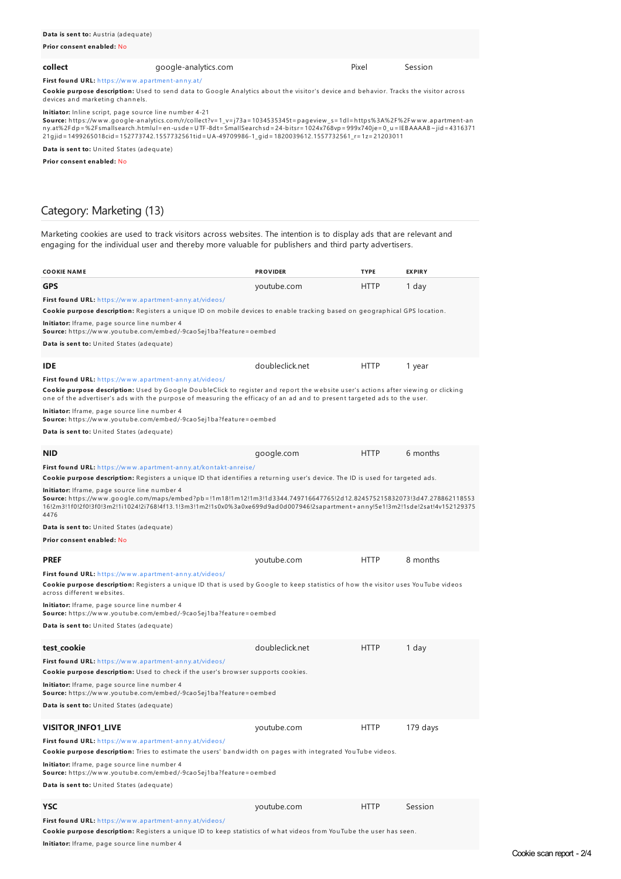Cookie purpose description: Used to send data to Google Analytics about the visitor's device and behavior. Tracks the visitor across devices and marketing channels.

**Initiator:** Inline script, page source line number 4-21

**Source:** h ttps://w w w .google-an alytics.com/r/collect?v=1\_v=j73a=1034535345t=pageview \_s=1dl=h ttps%3A%2F%2Fw w w .apartmen t-an ny.at%2Fdp=%2Fsmallsearch.htmlu l=en-usde=UTF-8dt=SmallSearchsd=24-bitsr=1024x768vp=999x740je=0\_u=IEBAAAAB~jid=4316371<br>21gjid=1499265018cid=152773742.1557732561tid=UA-49709986-1\_gid=1820039612.1557732561\_r=1z=21203011

**Data is sent to:** United States (adequate)

**Prior consent enabled:** No

#### Category: Marketing (13)

Marketing cookies are used to track visitors across websites. The intention is to display ads that are relevant and engaging for the individual user and thereby more valuable for publishers and third party advertisers.

| <b>COOKIE NAME</b>                                                                                                                                                                                                                                                                                                       | <b>PROVIDER</b> | <b>TYPE</b> | <b>EXPIRY</b> |
|--------------------------------------------------------------------------------------------------------------------------------------------------------------------------------------------------------------------------------------------------------------------------------------------------------------------------|-----------------|-------------|---------------|
| <b>GPS</b>                                                                                                                                                                                                                                                                                                               | youtube.com     | <b>HTTP</b> | 1 day         |
| First found URL: https://www.apartment-anny.at/videos/<br>Cookie purpose description: Registers a unique ID on mobile devices to enable tracking based on geographical GPS location.                                                                                                                                     |                 |             |               |
| Initiator: Iframe, page source line number 4<br>Source: https://www.youtube.com/embed/-9cao5ej1ba?feature=oembed                                                                                                                                                                                                         |                 |             |               |
| <b>Data is sent to:</b> United States (adequate)                                                                                                                                                                                                                                                                         |                 |             |               |
| <b>IDE</b>                                                                                                                                                                                                                                                                                                               | doubleclick.net | <b>HTTP</b> | 1 year        |
| First found URL: https://www.apartment-anny.at/videos/<br>Cookie purpose description: Used by Google DoubleClick to register and report the website user's actions after viewing or clicking<br>one of the advertiser's ads with the purpose of measuring the efficacy of an ad and to present targeted ads to the user. |                 |             |               |
| Initiator: Iframe, page source line number 4<br>Source: https://www.youtube.com/embed/-9cao5ej1ba?feature=oembed                                                                                                                                                                                                         |                 |             |               |
| <b>Data is sent to:</b> United States (adequate)                                                                                                                                                                                                                                                                         |                 |             |               |
| <b>NID</b>                                                                                                                                                                                                                                                                                                               | google.com      | <b>HTTP</b> | 6 months      |
| <b>First found URL:</b> https://www.apartment-anny.at/kontakt-anreise/<br>Cookie purpose description: Registers a unique ID that identifies a returning user's device. The ID is used for targeted ads.<br><b>Initiator:</b> Iframe, page source line number 4                                                           |                 |             |               |
| Source: https://www.google.com/maps/embed?pb=!1m18!1m12!1m3!1d3344.749716647765!2d12.824575215832073!3d47.278862118553<br>16:2m3!1f0!2f0!3f0!3m2!1i1024!2i768!4f13.1!3m3!1m2!1s0x0%3a0xe699d9ad0d007946!2sapartment+anny!5e1!3m2!1sde!2sat!4v152129375<br>4476                                                           |                 |             |               |
| Data is sent to: United States (adequate)                                                                                                                                                                                                                                                                                |                 |             |               |
| Prior consent enabled: No                                                                                                                                                                                                                                                                                                |                 |             |               |
| <b>PREF</b>                                                                                                                                                                                                                                                                                                              | youtube.com     | <b>HTTP</b> | 8 months      |
| First found URL: https://www.apartment-anny.at/videos/<br>Cookie purpose description: Registers a unique ID that is used by Google to keep statistics of how the visitor uses YouTube videos<br>across different websites.                                                                                               |                 |             |               |
| <b>Initiator:</b> Iframe, page source line number 4<br>Source: https://www.youtube.com/embed/-9cao5ej1ba?feature=oembed                                                                                                                                                                                                  |                 |             |               |
| <b>Data is sent to:</b> United States (adequate)                                                                                                                                                                                                                                                                         |                 |             |               |
| test_cookie                                                                                                                                                                                                                                                                                                              | doubleclick.net | HTTP        | 1 day         |
| First found URL: https://www.apartment-anny.at/videos/<br>Cookie purpose description: Used to check if the user's browser supports cookies.                                                                                                                                                                              |                 |             |               |
| Initiator: Iframe, page source line number 4<br>Source: https://www.youtube.com/embed/-9cao5ej1ba?feature=oembed                                                                                                                                                                                                         |                 |             |               |
| Data is sent to: United States (adequate)                                                                                                                                                                                                                                                                                |                 |             |               |
| <b>VISITOR INFO1 LIVE</b>                                                                                                                                                                                                                                                                                                | youtube.com     | <b>HTTP</b> | 179 days      |
| First found URL: https://www.apartment-anny.at/videos/                                                                                                                                                                                                                                                                   |                 |             |               |
| Cookie purpose description: Tries to estimate the users' bandwidth on pages with integrated YouTube videos.                                                                                                                                                                                                              |                 |             |               |
| Initiator: Iframe, page source line number 4<br>Source: https://www.youtube.com/embed/-9cao5ej1ba?feature=oembed                                                                                                                                                                                                         |                 |             |               |
| Data is sent to: United States (adequate)                                                                                                                                                                                                                                                                                |                 |             |               |
| <b>YSC</b>                                                                                                                                                                                                                                                                                                               | youtube.com     | HTTP        | Session       |
| First found URL: https://www.apartment-anny.at/videos/<br>Cookie purpose description: Registers a unique ID to keep statistics of what videos from YouTube the user has seen.                                                                                                                                            |                 |             |               |